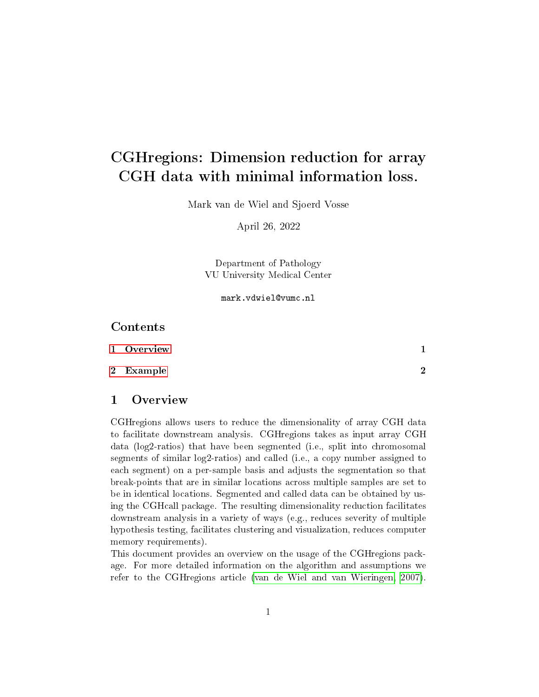# CGHregions: Dimension reduction for array CGH data with minimal information loss.

Mark van de Wiel and Sjoerd Vosse

April 26, 2022

Department of Pathology VU University Medical Center

mark.vdwiel@vumc.nl

#### Contents

| 1 Overview | $\mathbf 1$ |
|------------|-------------|
| 2 Example  | ച           |

#### <span id="page-0-0"></span>1 Overview

CGHregions allows users to reduce the dimensionality of array CGH data to facilitate downstream analysis. CGHregions takes as input array CGH data (log2-ratios) that have been segmented (i.e., split into chromosomal segments of similar log2-ratios) and called (i.e., a copy number assigned to each segment) on a per-sample basis and adjusts the segmentation so that break-points that are in similar locations across multiple samples are set to be in identical locations. Segmented and called data can be obtained by using the CGHcall package. The resulting dimensionality reduction facilitates downstream analysis in a variety of ways (e.g., reduces severity of multiple hypothesis testing, facilitates clustering and visualization, reduces computer memory requirements).

This document provides an overview on the usage of the CGHregions package. For more detailed information on the algorithm and assumptions we refer to the CGHregions article [\(van de Wiel and van Wieringen, 2007\)](#page-4-0).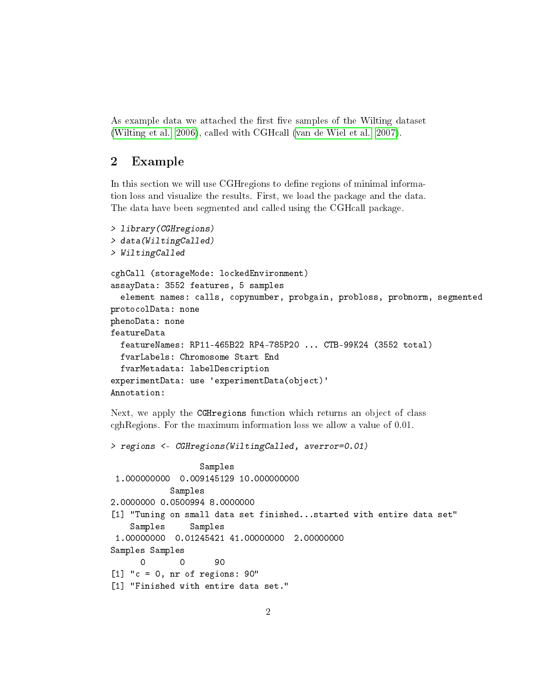As example data we attached the first five samples of the Wilting dataset [\(Wilting et al., 2006\)](#page-4-1), called with CGHcall [\(van de Wiel et al., 2007\)](#page-4-2).

### <span id="page-1-0"></span>2 Example

In this section we will use CGH regions to define regions of minimal information loss and visualize the results. First, we load the package and the data. The data have been segmented and called using the CGHcall package.

```
> library(CGHregions)
> data(WiltingCalled)
> WiltingCalled
cghCall (storageMode: lockedEnvironment)
assayData: 3552 features, 5 samples
  element names: calls, copynumber, probgain, probloss, probnorm, segmented
protocolData: none
phenoData: none
featureData
  featureNames: RP11-465B22 RP4-785P20 ... CTB-99K24 (3552 total)
  fvarLabels: Chromosome Start End
  fvarMetadata: labelDescription
experimentData: use 'experimentData(object)'
Annotation:
```
Next, we apply the CGHregions function which returns an object of class cghRegions. For the maximum information loss we allow a value of 0.01.

```
> regions <- CGHregions(WiltingCalled, averror=0.01)
                 Samples
1.000000000 0.009145129 10.000000000
           Samples
2.0000000 0.0500994 8.0000000
[1] "Tuning on small data set finished...started with entire data set"
   Samples Samples
1.00000000 0.01245421 41.00000000 2.00000000
Samples Samples
     0 0 90
[1] "c = 0, nr of regions: 90"
[1] "Finished with entire data set."
```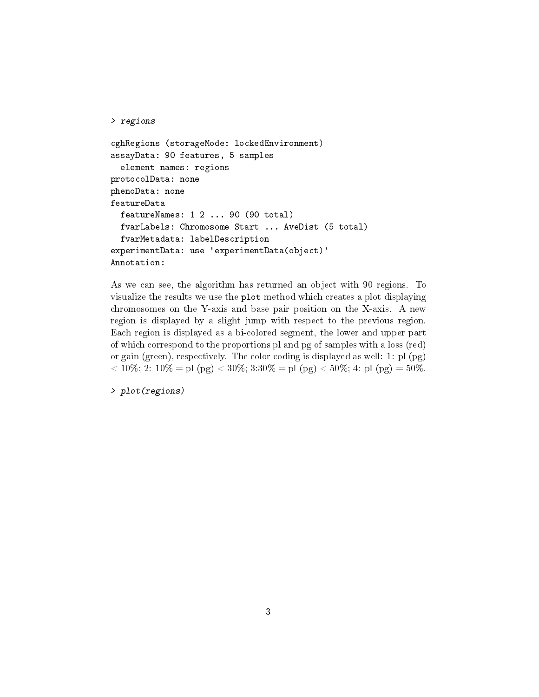```
> regions
cghRegions (storageMode: lockedEnvironment)
assayData: 90 features, 5 samples
  element names: regions
protocolData: none
phenoData: none
featureData
  featureNames: 1 2 ... 90 (90 total)
  fvarLabels: Chromosome Start ... AveDist (5 total)
  fvarMetadata: labelDescription
experimentData: use 'experimentData(object)'
Annotation:
```
As we can see, the algorithm has returned an object with 90 regions. To visualize the results we use the plot method which creates a plot displaying chromosomes on the Y-axis and base pair position on the X-axis. A new region is displayed by a slight jump with respect to the previous region. Each region is displayed as a bi-colored segment, the lower and upper part of which correspond to the proportions pl and pg of samples with a loss (red) or gain (green), respectively. The color coding is displayed as well: 1: pl (pg)  $< 10\%$ ; 2:  $10\% = \text{pl} (\text{pg}) < 30\%; 3:30\% = \text{pl} (\text{pg}) < 50\%; 4: \text{pl} (\text{pg}) = 50\%.$ 

> plot(regions)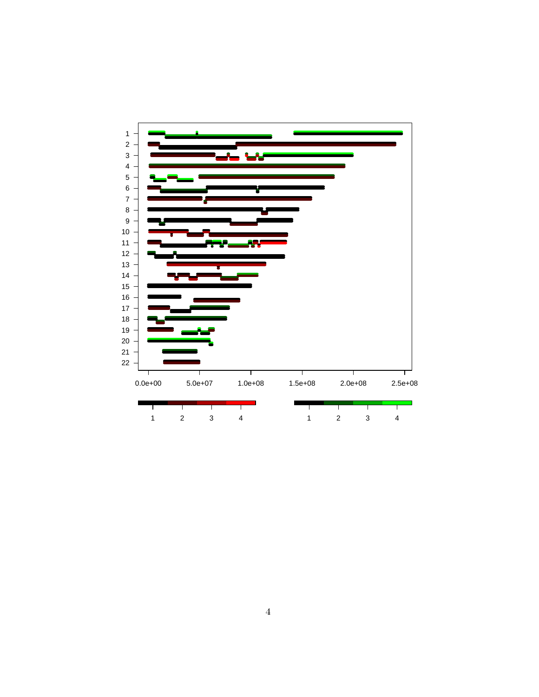